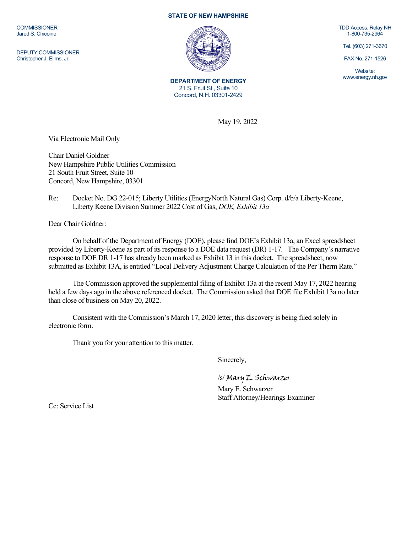**COMMISSIONER** Jared S. Chicoine

DEPUTY COMMISSIONER Christopher J. Ellms, Jr.

## **STATE OF NEW HAMPSHIRE**



**DEPARTMENT OF ENERGY** 21 S. Fruit St., Suite 10 Concord, N.H. 03301-2429

TDD Access: Relay NH 1-800-735-2964

Tel. (603) 271-3670

FAX No. 271-1526

Website: www.energy.nh.gov

May 19, 2022

Via Electronic Mail Only

Chair Daniel Goldner New Hampshire Public Utilities Commission 21 South Fruit Street, Suite 10 Concord, New Hampshire, 03301

## Re: Docket No. DG 22-015; Liberty Utilities (EnergyNorth Natural Gas) Corp. d/b/a Liberty-Keene, Liberty Keene Division Summer 2022 Cost of Gas, *DOE, Exhibit 13a*

Dear Chair Goldner:

On behalf of the Department of Energy (DOE), please find DOE's Exhibit 13a, an Excel spreadsheet provided by Liberty-Keene as part of its response to a DOE data request (DR) 1-17. The Company's narrative response to DOE DR 1-17 has already been marked as Exhibit 13 in this docket. The spreadsheet, now submitted as Exhibit 13A, is entitled "Local Delivery Adjustment Charge Calculation of the Per Therm Rate."

The Commission approved the supplemental filing of Exhibit 13a at the recent May 17, 2022 hearing held a few days ago in the above referenced docket. The Commission asked that DOE file Exhibit 13a no later than close of business on May 20, 2022.

Consistent with the Commission's March 17, 2020 letter, this discovery is being filed solely in electronic form.

Thank you for your attention to this matter.

Sincerely,

/s/ Mary E. Schwarzer

Mary E. Schwarzer Staff Attorney/Hearings Examiner

Cc: Service List